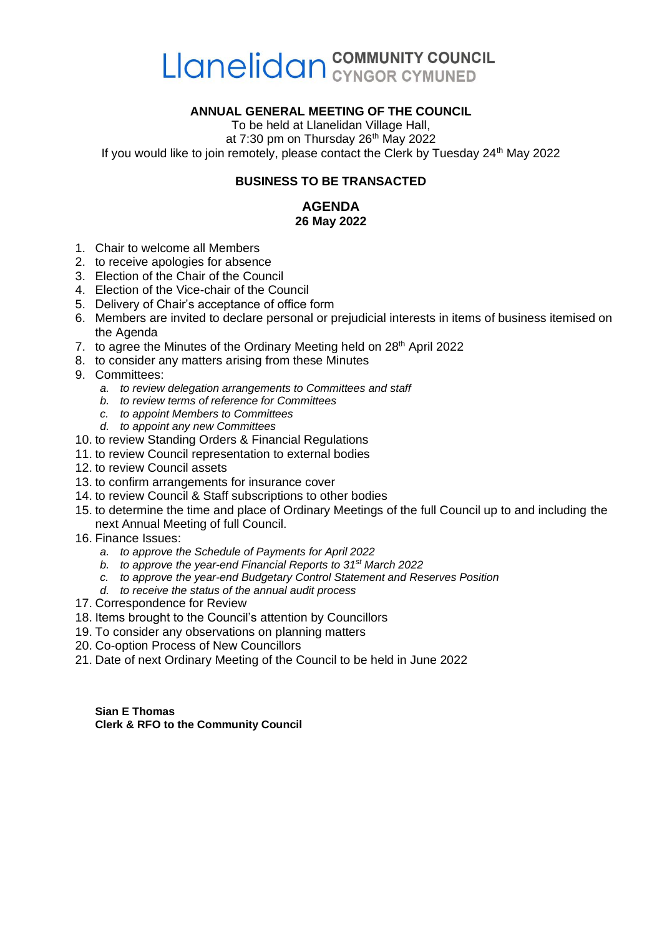# Llanelidan COMMUNITY COUNCIL

#### **ANNUAL GENERAL MEETING OF THE COUNCIL**

To be held at Llanelidan Village Hall, at  $7:30$  pm on Thursday  $26<sup>th</sup>$  May 2022 If you would like to join remotely, please contact the Clerk by Tuesday  $24<sup>th</sup>$  May 2022

#### **BUSINESS TO BE TRANSACTED**

#### **AGENDA 26 May 2022**

- 1. Chair to welcome all Members
- 2. to receive apologies for absence
- 3. Election of the Chair of the Council
- 4. Election of the Vice-chair of the Council
- 5. Delivery of Chair's acceptance of office form
- 6. Members are invited to declare personal or prejudicial interests in items of business itemised on the Agenda
- 7. to agree the Minutes of the Ordinary Meeting held on 28<sup>th</sup> April 2022
- 8. to consider any matters arising from these Minutes
- 9. Committees:
	- *a. to review delegation arrangements to Committees and staff*
	- *b. to review terms of reference for Committees*
	- *c. to appoint Members to Committees*
	- *d. to appoint any new Committees*
- 10. to review Standing Orders & Financial Regulations
- 11. to review Council representation to external bodies
- 12. to review Council assets
- 13. to confirm arrangements for insurance cover
- 14. to review Council & Staff subscriptions to other bodies
- 15. to determine the time and place of Ordinary Meetings of the full Council up to and including the next Annual Meeting of full Council.
- 16. Finance Issues:
	- *a. to approve the Schedule of Payments for April 2022*
	- *b. to approve the year-end Financial Reports to 31st March 2022*
	- *c. to approve the year-end Budgetary Control Statement and Reserves Position*
	- *d. to receive the status of the annual audit process*
- 17. Correspondence for Review
- 18. Items brought to the Council's attention by Councillors
- 19. To consider any observations on planning matters
- 20. Co-option Process of New Councillors
- 21. Date of next Ordinary Meeting of the Council to be held in June 2022

**Sian E Thomas Clerk & RFO to the Community Council**